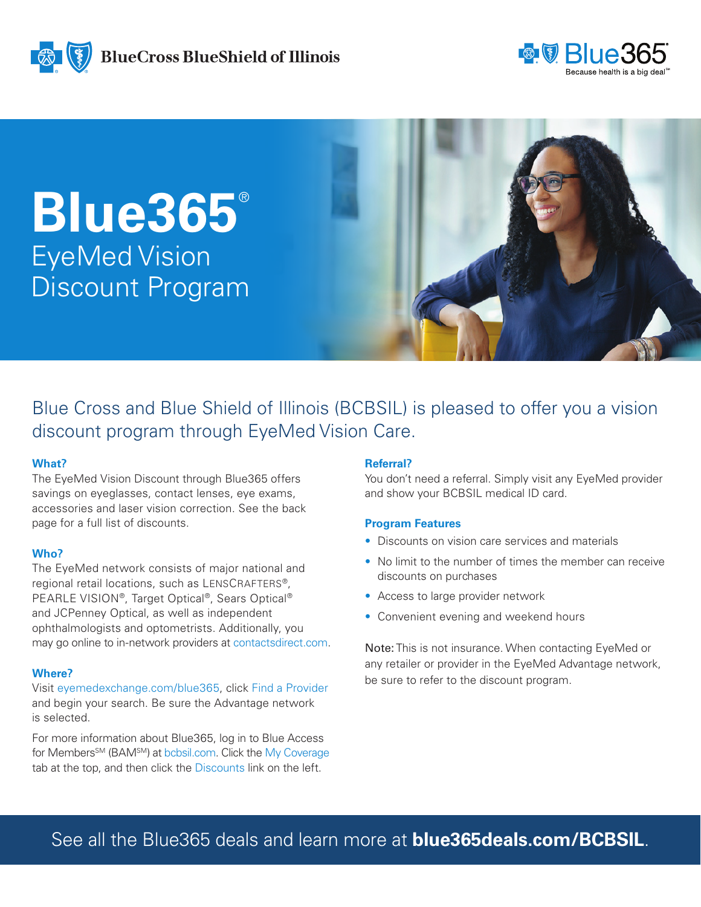



**Blue365**® EyeMed Vision Discount Program



Blue Cross and Blue Shield of Illinois (BCBSIL) is pleased to offer you a vision discount program through EyeMed Vision Care.

## **What?**

The EyeMed Vision Discount through Blue365 offers savings on eyeglasses, contact lenses, eye exams, accessories and laser vision correction. See the back page for a full list of discounts.

## **Who?**

The EyeMed network consists of major national and regional retail locations, such as LENSCRAFTERS®, PEARLE VISION®, Target Optical®, Sears Optical® and JCPenney Optical, as well as independent ophthalmologists and optometrists. Additionally, you may go online to in-network providers at contactsdirect.com.

# **Where?**

Visit eyemedexchange.com/blue365, click Find a Provider and begin your search. Be sure the Advantage network is selected.

For more information about Blue365, log in to Blue Access for Members<sup>SM</sup> (BAM<sup>SM</sup>) at bcbsil.com. Click the My Coverage tab at the top, and then click the Discounts link on the left.

# **Referral?**

You don't need a referral. Simply visit any EyeMed provider and show your BCBSIL medical ID card.

## **Program Features**

- Discounts on vision care services and materials
- No limit to the number of times the member can receive discounts on purchases
- Access to large provider network
- Convenient evening and weekend hours

Note: This is not insurance. When contacting EyeMed or any retailer or provider in the EyeMed Advantage network, be sure to refer to the discount program.